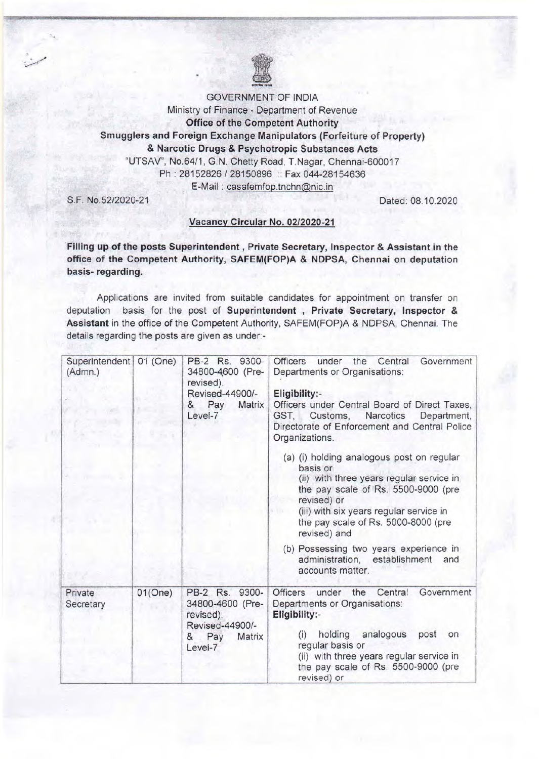GOVERNMENT OF INDIA

Ministry of Finance - Department of Revenue Office of the Competent Authority Smugglers and Foreign Exchange Manipulators (Forfeiture of Property) & Narcotic Drugs & Psychotropic Substances Acts "UTSAV", No.64/1 , G.N. Chetty Road, T.Nagar, Chennai-600017

Ph: 28152826 / 28150896 :: Fax 044-28154636

E-Mail : casafemfop.tnchn@nic.in

S.F. NO.52/2020-21 Dated: 08.10.2020

### Vacancy Circular No. *02/2020-21*

Filling up of the posts Superintendent, Private Secretary, Inspector & Assistant in the office of the Competent Authority, SAFEM(FOP)A & NDPSA, Chennai on deputation basis- regarding.

Applications are invited from suitable candidates for appointment on transfer on deputation basis for the post of Superintendent , Private Secretary, Inspector & Assistant in the office of the Competent Authority, SAFEM(FOP)A & NDPSA, Chennai. The details regarding the posts are given as under:-

| Superintendent 01 (One)<br>(Admn.) |         | PB-2 Rs. 9300-<br>34800-4600 (Pre-<br>revised).<br>Revised-44900/-<br>Matrix<br>& Pay<br>Level-7 | under the Central<br><b>Officers</b><br>Government<br>Departments or Organisations:<br>Eligibility:-<br>Officers under Central Board of Direct Taxes,<br>Customs, Narcotics<br>Department,<br>GST.<br>Directorate of Enforcement and Central Police<br>Organizations.<br>(a) (i) holding analogous post on regular<br>basis or<br>(ii) with three years regular service in<br>the pay scale of Rs. 5500-9000 (pre<br>revised) or<br>(iii) with six years regular service in<br>the pay scale of Rs. 5000-8000 (pre<br>revised) and<br>(b) Possessing two years experience in<br>administration, establishment<br>and<br>accounts matter. |
|------------------------------------|---------|--------------------------------------------------------------------------------------------------|------------------------------------------------------------------------------------------------------------------------------------------------------------------------------------------------------------------------------------------------------------------------------------------------------------------------------------------------------------------------------------------------------------------------------------------------------------------------------------------------------------------------------------------------------------------------------------------------------------------------------------------|
| Private<br>Secretary               | 01(One) | PB-2 Rs. 9300-<br>34800-4600 (Pre-                                                               | the<br>Central<br>Officers<br>under<br>Government<br>Departments or Organisations:                                                                                                                                                                                                                                                                                                                                                                                                                                                                                                                                                       |
|                                    |         | revised).<br>Revised-44900/-<br>Matrix<br>Pay<br>&<br>Level-7                                    | Eligibility:-<br>holding<br>analogous<br>post<br>(i)<br>on<br>regular basis or<br>(ii) with three years regular service in<br>the pay scale of Rs. 5500-9000 (pre<br>revised) or                                                                                                                                                                                                                                                                                                                                                                                                                                                         |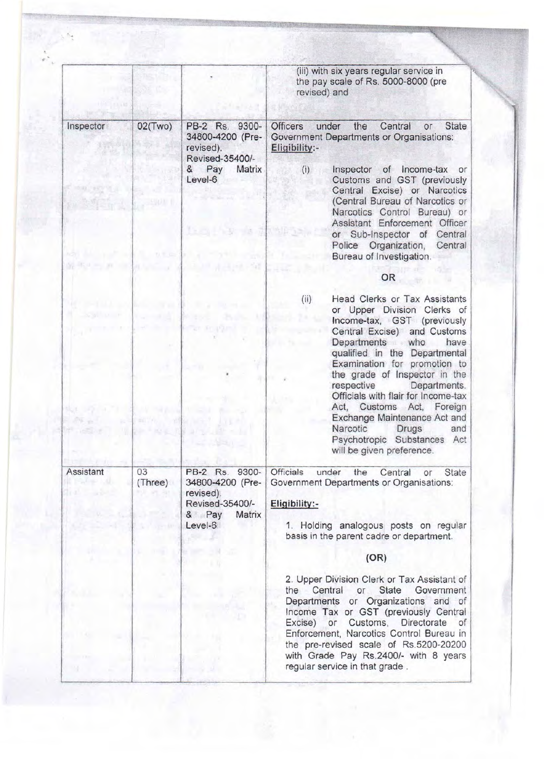|                                                                            |                                                                        |                                                                                   | (iii) with six years regular service in<br>the pay scale of Rs. 5000-8000 (pre<br>revised) and                                                                                                                                                                                                                                                                                              |
|----------------------------------------------------------------------------|------------------------------------------------------------------------|-----------------------------------------------------------------------------------|---------------------------------------------------------------------------------------------------------------------------------------------------------------------------------------------------------------------------------------------------------------------------------------------------------------------------------------------------------------------------------------------|
| Inspector                                                                  | 02(Two)                                                                | PB-2 Rs. 9300-<br>34800-4200 (Pre-<br>revised).<br>Revised-35400/-                | <b>State</b><br><b>Officers</b><br>under<br>the<br>Central<br><b>or</b><br>Government Departments or Organisations:<br>Eligibility:-                                                                                                                                                                                                                                                        |
| < 1000                                                                     |                                                                        | & Pay<br>Matrix<br>Level-6<br>$\mathbb{R}$ $\mathbb{R}$ $\mathbb{R}$ $\mathbb{R}$ | Inspector of Income-tax or<br>(i)<br>Customs and GST (previously<br>Central Excise) or Narcotics<br>(Central Bureau of Narcotics or<br>Narcotics Control Bureau) or<br>Assistant Enforcement Officer<br>or Sub-Inspector of Central<br>Police Organization,<br>Central                                                                                                                      |
| ACT International Act D. Editor<br>WERE A REAL PROPERTY OF A REAL PROPERTY |                                                                        |                                                                                   | Bureau of Investigation.                                                                                                                                                                                                                                                                                                                                                                    |
|                                                                            |                                                                        |                                                                                   | OR                                                                                                                                                                                                                                                                                                                                                                                          |
|                                                                            |                                                                        | 35. Oka<br>W. Franklin in                                                         | <b>Head Clerks or Tax Assistants</b><br>(ii)<br>or Upper Division Clerks of<br>Income-tax, GST (previously<br>Central Excise) and Customs<br>Departments who<br>have<br>qualified in the Departmental<br>Examination for promotion to                                                                                                                                                       |
| -249                                                                       | <b>All managers</b><br>$\mathcal{Q} = \mathcal{Q} \in \mathbb{R}$ is a | <b><i>KRAL WEB</i></b>                                                            | the grade of Inspector in the<br>respective<br>Departments.<br>Officials with flair for Income-tax<br>Act, Customs Act, Foreign<br>Exchange Maintenance Act and<br>Narcotic<br>Drugs<br>and<br>Psychotropic Substances Act<br>will be given preference.                                                                                                                                     |
| Assistant                                                                  | 03<br>(Three)                                                          | PB-2 Rs. 9300-<br>34800-4200 (Pre-                                                | <b>Officials</b><br>under<br><b>State</b><br>the<br>Central<br>or<br>Government Departments or Organisations:                                                                                                                                                                                                                                                                               |
|                                                                            |                                                                        | revised).<br>Revised-35400/-                                                      | Eligibility:-                                                                                                                                                                                                                                                                                                                                                                               |
|                                                                            |                                                                        | Matrix<br>& Pay<br>Level-6                                                        | 1. Holding analogous posts on regular<br>basis in the parent cadre or department.                                                                                                                                                                                                                                                                                                           |
|                                                                            |                                                                        |                                                                                   | (OR)                                                                                                                                                                                                                                                                                                                                                                                        |
|                                                                            |                                                                        |                                                                                   | 2. Upper Division Clerk or Tax Assistant of<br>the Central<br><b>State</b><br>Government<br>or<br>Departments or Organizations and of<br>Income Tax or GST (previously Central<br>or Customs, Directorate<br>Excise)<br>of<br>Enforcement, Narcotics Control Bureau in<br>the pre-revised scale of Rs.5200-20200<br>with Grade Pay Rs.2400/- with 8 years<br>regular service in that grade. |

 $\frac{1}{2}$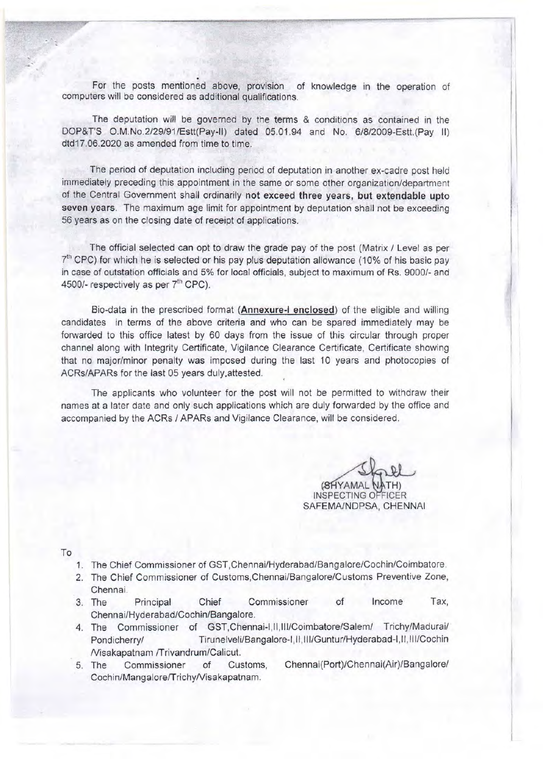For the posts mentioned above, provision of knowledge in the operation of computers will be considered as additional qualifications.

The deputation will be governed by the terms & conditions as contained in the DOP&T'S O.M.No.2/29/91/Estt(Pay-lI) dated 05.01 .94 and No. 6/8/2009-Estt.(Pay II) dtd17.06.2020 as amended from time to time.

The period of deputation including period of deputation in another ex-cadre post held immediately preceding this appointment in the same or some other organization/department of the Central Government shall ordinarily not exceed three years, but extendable upto seven years. The maximum age limit for appointment by deputation shall not be exceeding 56 years as on the closing date of receipt of applications.

The official selected can opt to draw the grade pay of the post (Matrix / Level as per  $7<sup>th</sup>$  CPC) for which he is selected or his pay plus deputation allowance (10% of his basic pay in case of outstation officials and 5% for local officials, subject to maximum of Rs. 9000/- and 4500/- respectively as per  $7<sup>th</sup>$  CPC).

Bio-data in the prescribed format (**Annexure-I enclosed**) of the eligible and willing candidates in terms of the above criteria and who can be spared immediately may be forwarded to this office latest by 60 days from the issue of this circular through proper channel along with Integrity Certificate, Vigilance Clearance Certificate, Certificate showing that no major/minor penalty was imposed during the last 10 years and photocopies of ACRs/APARs for the last 05 years duly, attested.

The applicants who volunteer for the post will not be permitted to withdraw their names at a later date and only such applications which are duly forwarded by the office and accompanied by the ACRs / APARs and Vigilance Clearance, will be considered.

(SHYAMAL NATH) **INSPECTING OFFICER** SAFEMA/NDPSA, CHENNAI

 $\mathbf{1}$ 

I

To

- 1. The Chief Commissioner of GST,Chennai/Hyderabad/Bangalore/Cochin/Coimbatore.
- 2. The Chief Commissioner of Customs,ChennailBangalore/Customs Preventive Zone, Chennai.
- 3. The Principal Chief Commissioner of Income Tax, Chennai/Hyderabad/Cochin/Bangalore.
- 4. The Commissioner of GST, Chennai-I, II, III/Coimbatore/Salem/ Trichy/Madurai/ Pondicherry/ Tirunelveli/Bangalore-I,II,III/Guntur/Hyderabad-I,II,III/Cochin Nisakapatnam ITrivandrum/Calicut.
- 5. The Commissioner of Customs, Chennai(Port)/Chennai(Air)/Bangalorel Cochin/Mangalore/Trichy/Visakapatnam.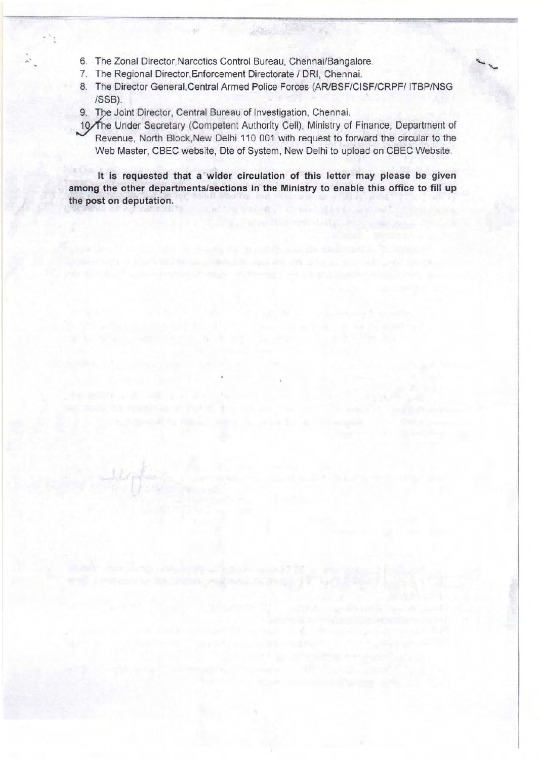- 6. The Zonal Director, Narcotics Control Bureau, Chennai/Bangalore.
- 7. The Regional Director, Enforcement Directorate / DRI, Chennai.
- 8. The Director General, Central Armed Police Forces (AR/BSF/CISF/CRPF/ ITBP/NSG ISSB).
- 9. The Joint Director, Central Bureau of Investigation, Chennai.
- 10/The Under Secretary (Competent Authority Cell), Ministry of Finance, Department of Revenue, North Block,New Delhi 110 001 with request to forward the circular to the Web Master, CBEC website, Dte of System, New Delhi to upload on CBEC Website.

**It is requested that a** 'wider **circulation of this letter may please be given among the other departments/sections in the Ministry to enable this office to fill up the post on deputation.**